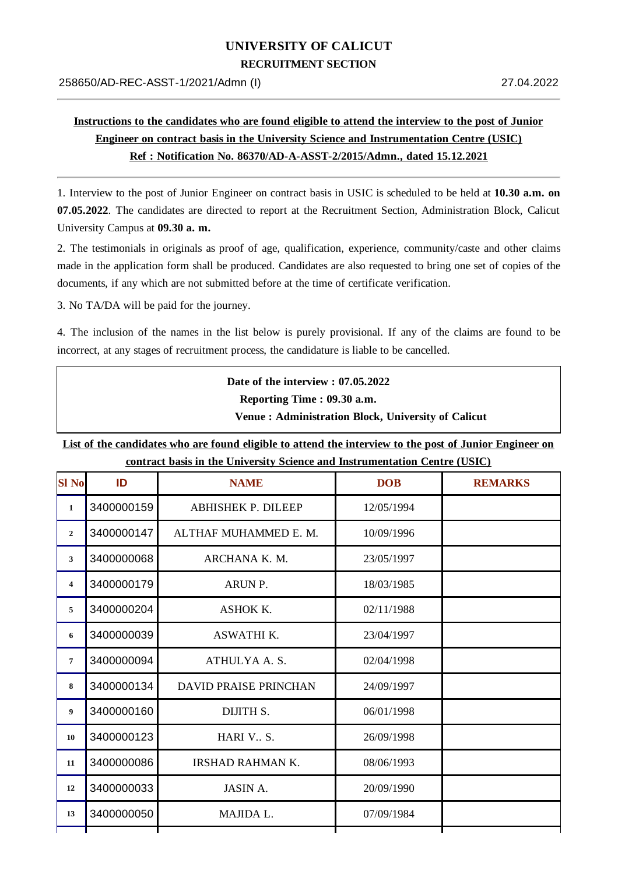## **UNIVERSITY OF CALICUT**

**RECRUITMENT SECTION**

## **Instructions to the candidates who are found eligible to attend the interview to the post of Junior Engineer on contract basis in the University Science and Instrumentation Centre (USIC) Ref : Notification No. 86370/AD-A-ASST-2/2015/Admn., dated 15.12.2021**

1. Interview to the post of Junior Engineer on contract basis in USIC is scheduled to be held at **10.30 a.m. on 07.05.2022**. The candidates are directed to report at the Recruitment Section, Administration Block, Calicut University Campus at **09.30 a. m.**

2. The testimonials in originals as proof of age, qualification, experience, community/caste and other claims made in the application form shall be produced. Candidates are also requested to bring one set of copies of the documents, if any which are not submitted before at the time of certificate verification.

3. No TA/DA will be paid for the journey.

4. The inclusion of the names in the list below is purely provisional. If any of the claims are found to be incorrect, at any stages of recruitment process, the candidature is liable to be cancelled.

| Date of the interview : 07.05.2022                 |
|----------------------------------------------------|
| Reporting Time: 09.30 a.m.                         |
| Venue: Administration Block, University of Calicut |

List of the candidates who are found eligible to attend the interview to the post of Junior Engineer on **contract basis in the University Science and Instrumentation Centre (USIC)**

| <b>SI No</b>            | ID         | <b>NAME</b>                  | <b>DOB</b> | <b>REMARKS</b> |
|-------------------------|------------|------------------------------|------------|----------------|
| $\mathbf{1}$            | 3400000159 | <b>ABHISHEK P. DILEEP</b>    | 12/05/1994 |                |
| $\overline{2}$          | 3400000147 | ALTHAF MUHAMMED E. M.        | 10/09/1996 |                |
| 3                       | 3400000068 | ARCHANA K. M.                | 23/05/1997 |                |
| $\overline{\mathbf{4}}$ | 3400000179 | ARUN P.                      | 18/03/1985 |                |
| 5                       | 3400000204 | ASHOK K.                     | 02/11/1988 |                |
| 6                       | 3400000039 | ASWATHI K.                   | 23/04/1997 |                |
| $\overline{7}$          | 3400000094 | ATHULYA A.S.                 | 02/04/1998 |                |
| 8                       | 3400000134 | <b>DAVID PRAISE PRINCHAN</b> | 24/09/1997 |                |
| 9                       | 3400000160 | DIJITH S.                    | 06/01/1998 |                |
| 10                      | 3400000123 | HARI V., S.                  | 26/09/1998 |                |
| 11                      | 3400000086 | <b>IRSHAD RAHMAN K.</b>      | 08/06/1993 |                |
| 12                      | 3400000033 | <b>JASIN A.</b>              | 20/09/1990 |                |
| 13                      | 3400000050 | MAJIDA L.                    | 07/09/1984 |                |
|                         |            |                              |            |                |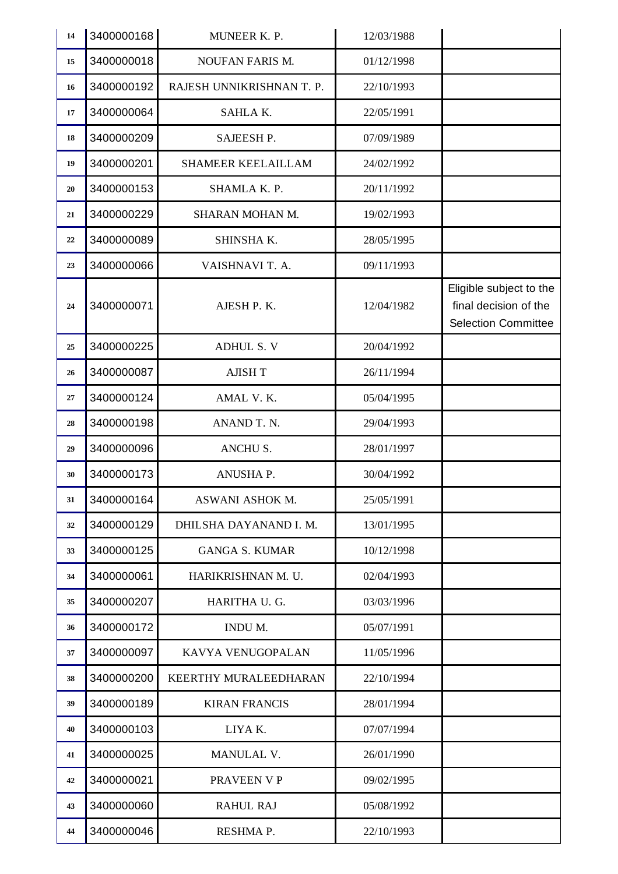| 14 | 3400000168 | MUNEER K. P.              | 12/03/1988 |                                                                                |
|----|------------|---------------------------|------------|--------------------------------------------------------------------------------|
| 15 | 3400000018 | <b>NOUFAN FARIS M.</b>    | 01/12/1998 |                                                                                |
| 16 | 3400000192 | RAJESH UNNIKRISHNAN T. P. | 22/10/1993 |                                                                                |
| 17 | 3400000064 | SAHLAK.                   | 22/05/1991 |                                                                                |
| 18 | 3400000209 | SAJEESH P.                | 07/09/1989 |                                                                                |
| 19 | 3400000201 | <b>SHAMEER KEELAILLAM</b> | 24/02/1992 |                                                                                |
| 20 | 3400000153 | SHAMLA K. P.              | 20/11/1992 |                                                                                |
| 21 | 3400000229 | SHARAN MOHAN M.           | 19/02/1993 |                                                                                |
| 22 | 3400000089 | SHINSHAK.                 | 28/05/1995 |                                                                                |
| 23 | 3400000066 | VAISHNAVI T. A.           | 09/11/1993 |                                                                                |
| 24 | 3400000071 | AJESH P.K.                | 12/04/1982 | Eligible subject to the<br>final decision of the<br><b>Selection Committee</b> |
| 25 | 3400000225 | <b>ADHUL S. V</b>         | 20/04/1992 |                                                                                |
| 26 | 3400000087 | <b>AJISH T</b>            | 26/11/1994 |                                                                                |
| 27 | 3400000124 | AMAL V.K.                 | 05/04/1995 |                                                                                |
| 28 | 3400000198 | ANAND T. N.               | 29/04/1993 |                                                                                |
| 29 | 3400000096 | ANCHU S.                  | 28/01/1997 |                                                                                |
| 30 | 3400000173 | ANUSHA P.                 | 30/04/1992 |                                                                                |
| 31 | 3400000164 | ASWANI ASHOK M.           | 25/05/1991 |                                                                                |
| 32 | 3400000129 | DHILSHA DAYANAND I. M.    | 13/01/1995 |                                                                                |
| 33 | 3400000125 | <b>GANGA S. KUMAR</b>     | 10/12/1998 |                                                                                |
| 34 | 3400000061 | HARIKRISHNAN M. U.        | 02/04/1993 |                                                                                |
| 35 | 3400000207 | HARITHA U. G.             | 03/03/1996 |                                                                                |
| 36 | 3400000172 | INDU M.                   | 05/07/1991 |                                                                                |
| 37 | 3400000097 | KAVYA VENUGOPALAN         | 11/05/1996 |                                                                                |
| 38 | 3400000200 | KEERTHY MURALEEDHARAN     | 22/10/1994 |                                                                                |
| 39 | 3400000189 | <b>KIRAN FRANCIS</b>      | 28/01/1994 |                                                                                |
| 40 | 3400000103 | LIYAK.                    | 07/07/1994 |                                                                                |
| 41 | 3400000025 | MANULAL V.                | 26/01/1990 |                                                                                |
| 42 | 3400000021 | PRAVEEN V P               | 09/02/1995 |                                                                                |
| 43 | 3400000060 | <b>RAHUL RAJ</b>          | 05/08/1992 |                                                                                |
| 44 | 3400000046 | RESHMA P.                 | 22/10/1993 |                                                                                |